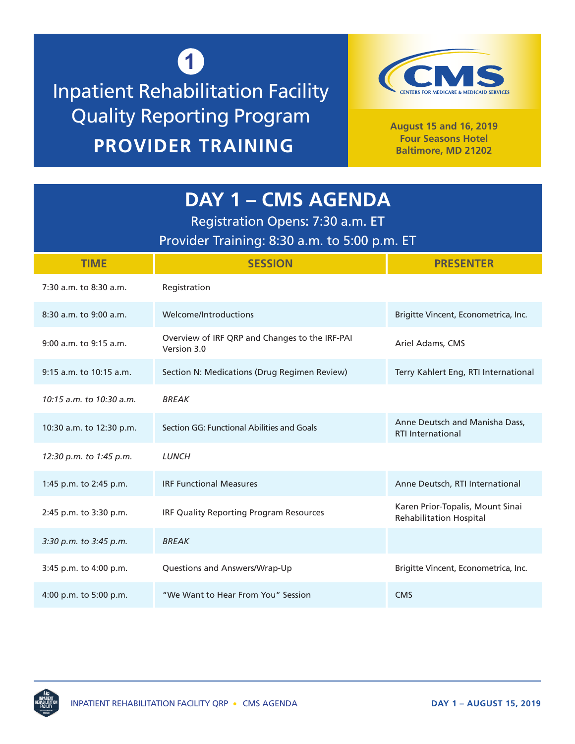## **1** Inpatient Rehabilitation Facility Quality Reporting Program **PROVIDER TRAINING**



**August 15 and 16, 2019 Four Seasons Hotel Baltimore, MD 21202**

| <b>DAY 1 - CMS AGENDA</b><br>Registration Opens: 7:30 a.m. ET<br>Provider Training: 8:30 a.m. to 5:00 p.m. ET |                                                               |                                                                    |  |
|---------------------------------------------------------------------------------------------------------------|---------------------------------------------------------------|--------------------------------------------------------------------|--|
| <b>TIME</b>                                                                                                   | <b>SESSION</b>                                                | <b>PRESENTER</b>                                                   |  |
| 7:30 a.m. to 8:30 a.m.                                                                                        | Registration                                                  |                                                                    |  |
| 8:30 a.m. to 9:00 a.m.                                                                                        | Welcome/Introductions                                         | Brigitte Vincent, Econometrica, Inc.                               |  |
| $9:00$ a.m. to $9:15$ a.m.                                                                                    | Overview of IRF QRP and Changes to the IRF-PAI<br>Version 3.0 | Ariel Adams, CMS                                                   |  |
| 9:15 a.m. to 10:15 a.m.                                                                                       | Section N: Medications (Drug Regimen Review)                  | Terry Kahlert Eng, RTI International                               |  |
| 10:15 a.m. to 10:30 a.m.                                                                                      | <b>BREAK</b>                                                  |                                                                    |  |
| 10:30 a.m. to 12:30 p.m.                                                                                      | Section GG: Functional Abilities and Goals                    | Anne Deutsch and Manisha Dass,<br><b>RTI</b> International         |  |
| 12:30 p.m. to 1:45 p.m.                                                                                       | <b>LUNCH</b>                                                  |                                                                    |  |
| 1:45 p.m. to 2:45 p.m.                                                                                        | <b>IRF Functional Measures</b>                                | Anne Deutsch, RTI International                                    |  |
| 2:45 p.m. to 3:30 p.m.                                                                                        | <b>IRF Quality Reporting Program Resources</b>                | Karen Prior-Topalis, Mount Sinai<br><b>Rehabilitation Hospital</b> |  |
| 3:30 p.m. to 3:45 p.m.                                                                                        | <b>BREAK</b>                                                  |                                                                    |  |
| 3:45 p.m. to 4:00 p.m.                                                                                        | Questions and Answers/Wrap-Up                                 | Brigitte Vincent, Econometrica, Inc.                               |  |
| 4:00 p.m. to 5:00 p.m.                                                                                        | "We Want to Hear From You" Session                            | <b>CMS</b>                                                         |  |